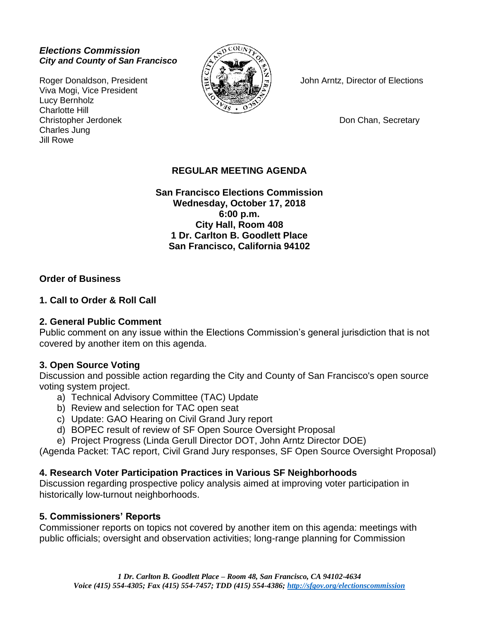#### *Elections Commission City and County of San Francisco*

Viva Mogi, Vice President Lucy Bernholz Charlotte Hill Christopher Jerdonek **Don Chan, Secretary** Charles Jung Jill Rowe



Roger Donaldson, President John Arntz, Director of Elections

# **REGULAR MEETING AGENDA**

**San Francisco Elections Commission Wednesday, October 17, 2018 6:00 p.m. City Hall, Room 408 1 Dr. Carlton B. Goodlett Place San Francisco, California 94102**

## **Order of Business**

## **1. Call to Order & Roll Call**

#### **2. General Public Comment**

Public comment on any issue within the Elections Commission's general jurisdiction that is not covered by another item on this agenda.

#### **3. Open Source Voting**

Discussion and possible action regarding the City and County of San Francisco's open source voting system project.

- a) Technical Advisory Committee (TAC) Update
- b) Review and selection for TAC open seat
- c) Update: GAO Hearing on Civil Grand Jury report
- d) BOPEC result of review of SF Open Source Oversight Proposal
- e) Project Progress (Linda Gerull Director DOT, John Arntz Director DOE)

(Agenda Packet: TAC report, Civil Grand Jury responses, SF Open Source Oversight Proposal)

# **4. Research Voter Participation Practices in Various SF Neighborhoods**

Discussion regarding prospective policy analysis aimed at improving voter participation in historically low-turnout neighborhoods.

# **5. Commissioners' Reports**

Commissioner reports on topics not covered by another item on this agenda: meetings with public officials; oversight and observation activities; long-range planning for Commission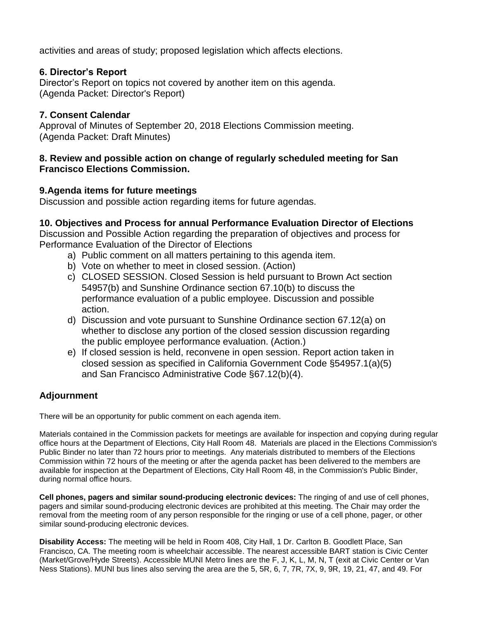activities and areas of study; proposed legislation which affects elections.

## **6. Director's Report**

Director's Report on topics not covered by another item on this agenda. (Agenda Packet: Director's Report)

## **7. Consent Calendar**

Approval of Minutes of September 20, 2018 Elections Commission meeting. (Agenda Packet: Draft Minutes)

#### **8. Review and possible action on change of regularly scheduled meeting for San Francisco Elections Commission.**

## **9.Agenda items for future meetings**

Discussion and possible action regarding items for future agendas.

#### **10. Objectives and Process for annual Performance Evaluation Director of Elections**

Discussion and Possible Action regarding the preparation of objectives and process for Performance Evaluation of the Director of Elections

- a) Public comment on all matters pertaining to this agenda item.
- b) Vote on whether to meet in closed session. (Action)
- c) CLOSED SESSION. Closed Session is held pursuant to Brown Act section 54957(b) and Sunshine Ordinance section 67.10(b) to discuss the performance evaluation of a public employee. Discussion and possible action.
- d) Discussion and vote pursuant to Sunshine Ordinance section 67.12(a) on whether to disclose any portion of the closed session discussion regarding the public employee performance evaluation. (Action.)
- e) If closed session is held, reconvene in open session. Report action taken in closed session as specified in California Government Code §54957.1(a)(5) and San Francisco Administrative Code §67.12(b)(4).

# **Adjournment**

There will be an opportunity for public comment on each agenda item.

Materials contained in the Commission packets for meetings are available for inspection and copying during regular office hours at the Department of Elections, City Hall Room 48. Materials are placed in the Elections Commission's Public Binder no later than 72 hours prior to meetings. Any materials distributed to members of the Elections Commission within 72 hours of the meeting or after the agenda packet has been delivered to the members are available for inspection at the Department of Elections, City Hall Room 48, in the Commission's Public Binder, during normal office hours.

**Cell phones, pagers and similar sound-producing electronic devices:** The ringing of and use of cell phones, pagers and similar sound-producing electronic devices are prohibited at this meeting. The Chair may order the removal from the meeting room of any person responsible for the ringing or use of a cell phone, pager, or other similar sound-producing electronic devices.

**Disability Access:** The meeting will be held in Room 408, City Hall, 1 Dr. Carlton B. Goodlett Place, San Francisco, CA. The meeting room is wheelchair accessible. The nearest accessible BART station is Civic Center (Market/Grove/Hyde Streets). Accessible MUNI Metro lines are the F, J, K, L, M, N, T (exit at Civic Center or Van Ness Stations). MUNI bus lines also serving the area are the 5, 5R, 6, 7, 7R, 7X, 9, 9R, 19, 21, 47, and 49. For